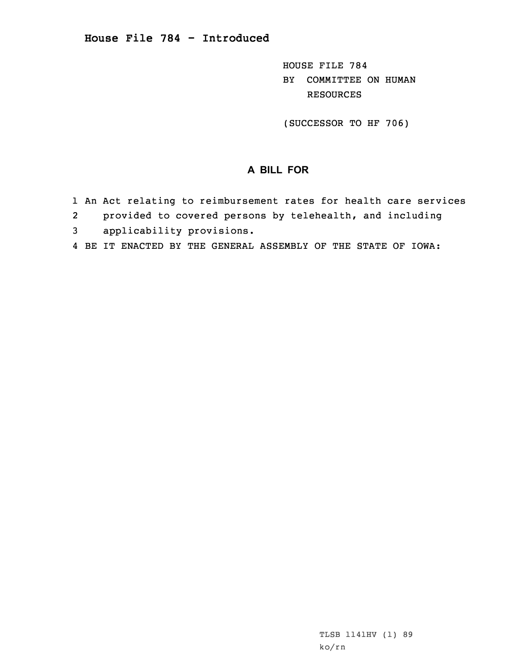HOUSE FILE 784 BY COMMITTEE ON HUMAN RESOURCES

(SUCCESSOR TO HF 706)

## **A BILL FOR**

- 1 An Act relating to reimbursement rates for health care services
- 2provided to covered persons by telehealth, and including
- 3 applicability provisions.
- 4 BE IT ENACTED BY THE GENERAL ASSEMBLY OF THE STATE OF IOWA: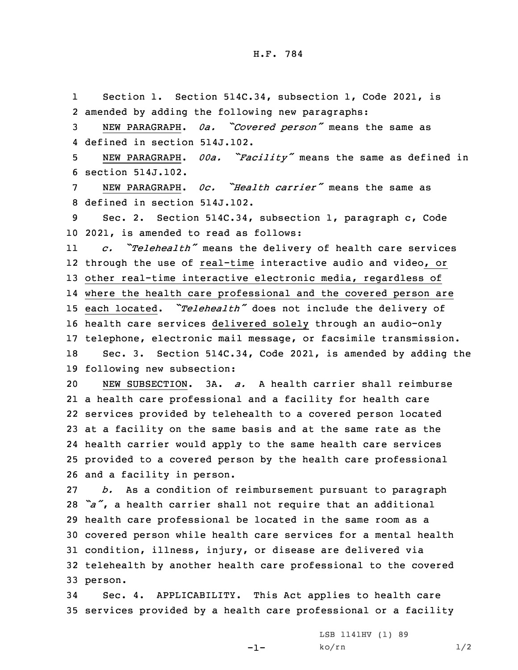H.F. 784

1 Section 1. Section 514C.34, subsection 1, Code 2021, is 2 amended by adding the following new paragraphs:

<sup>3</sup> NEW PARAGRAPH. *0a. "Covered person"* means the same as 4 defined in section 514J.102.

<sup>5</sup> NEW PARAGRAPH. *00a. "Facility"* means the same as defined in 6 section 514J.102.

7 NEW PARAGRAPH. *0c. "Health carrier"* means the same as 8 defined in section 514J.102.

9 Sec. 2. Section 514C.34, subsection 1, paragraph c, Code 10 2021, is amended to read as follows:

11 *c. "Telehealth"* means the delivery of health care services through the use of real-time interactive audio and video, or other real-time interactive electronic media, regardless of where the health care professional and the covered person are each located. *"Telehealth"* does not include the delivery of health care services delivered solely through an audio-only telephone, electronic mail message, or facsimile transmission. Sec. 3. Section 514C.34, Code 2021, is amended by adding the following new subsection:

 NEW SUBSECTION. 3A. *a.* A health carrier shall reimburse <sup>a</sup> health care professional and <sup>a</sup> facility for health care services provided by telehealth to <sup>a</sup> covered person located at <sup>a</sup> facility on the same basis and at the same rate as the health carrier would apply to the same health care services provided to <sup>a</sup> covered person by the health care professional and <sup>a</sup> facility in person.

 *b.* As <sup>a</sup> condition of reimbursement pursuant to paragraph *"a"*, <sup>a</sup> health carrier shall not require that an additional health care professional be located in the same room as <sup>a</sup> covered person while health care services for <sup>a</sup> mental health condition, illness, injury, or disease are delivered via telehealth by another health care professional to the covered 33 person.

34 Sec. 4. APPLICABILITY. This Act applies to health care 35 services provided by <sup>a</sup> health care professional or <sup>a</sup> facility

-1-

LSB 1141HV (1) 89  $ko/rn$  1/2